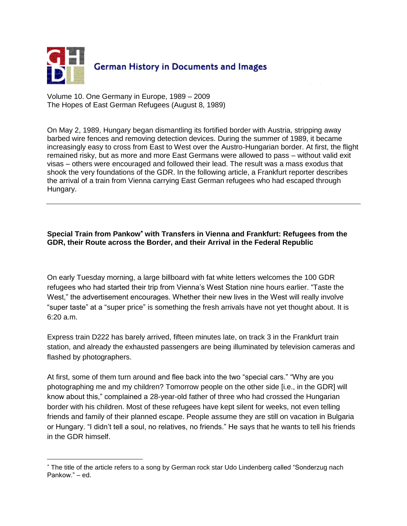

Volume 10. One Germany in Europe, 1989 – 2009 The Hopes of East German Refugees (August 8, 1989)

On May 2, 1989, Hungary began dismantling its fortified border with Austria, stripping away barbed wire fences and removing detection devices. During the summer of 1989, it became increasingly easy to cross from East to West over the Austro-Hungarian border. At first, the flight remained risky, but as more and more East Germans were allowed to pass – without valid exit visas – others were encouraged and followed their lead. The result was a mass exodus that shook the very foundations of the GDR. In the following article, a Frankfurt reporter describes the arrival of a train from Vienna carrying East German refugees who had escaped through Hungary.

## **Special Train from Pankow<sup>\*</sup> with Transfers in Vienna and Frankfurt: Refugees from the GDR, their Route across the Border, and their Arrival in the Federal Republic**

On early Tuesday morning, a large billboard with fat white letters welcomes the 100 GDR refugees who had started their trip from Vienna"s West Station nine hours earlier. "Taste the West," the advertisement encourages. Whether their new lives in the West will really involve "super taste" at a "super price" is something the fresh arrivals have not yet thought about. It is 6:20 a.m.

Express train D222 has barely arrived, fifteen minutes late, on track 3 in the Frankfurt train station, and already the exhausted passengers are being illuminated by television cameras and flashed by photographers.

At first, some of them turn around and flee back into the two "special cars." "Why are you photographing me and my children? Tomorrow people on the other side [i.e., in the GDR] will know about this," complained a 28-year-old father of three who had crossed the Hungarian border with his children. Most of these refugees have kept silent for weeks, not even telling friends and family of their planned escape. People assume they are still on vacation in Bulgaria or Hungary. "I didn"t tell a soul, no relatives, no friends." He says that he wants to tell his friends in the GDR himself.

 $\overline{a}$ 

The title of the article refers to a song by German rock star Udo Lindenberg called "Sonderzug nach Pankow." – ed.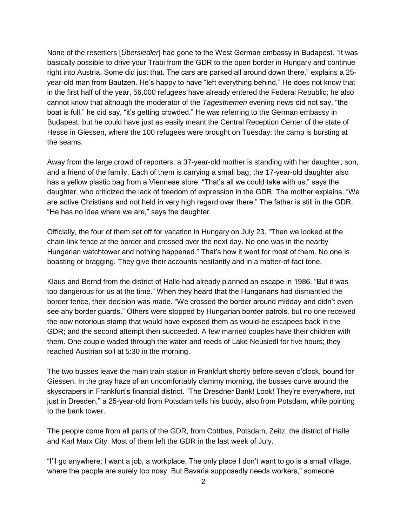None of the resettlers [*Übersiedler*] had gone to the West German embassy in Budapest. "It was basically possible to drive your Trabi from the GDR to the open border in Hungary and continue right into Austria. Some did just that. The cars are parked all around down there," explains a 25 year-old man from Bautzen. He's happy to have "left everything behind." He does not know that in the first half of the year, 56,000 refugees have already entered the Federal Republic; he also cannot know that although the moderator of the *Tagesthemen* evening news did not say, "the boat is full," he did say, "it"s getting crowded." He was referring to the German embassy in Budapest, but he could have just as easily meant the Central Reception Center of the state of Hesse in Giessen, where the 100 refugees were brought on Tuesday: the camp is bursting at the seams.

Away from the large crowd of reporters, a 37-year-old mother is standing with her daughter, son, and a friend of the family. Each of them is carrying a small bag; the 17-year-old daughter also has a yellow plastic bag from a Viennese store. "That"s all we could take with us," says the daughter, who criticized the lack of freedom of expression in the GDR. The mother explains, "We are active Christians and not held in very high regard over there." The father is still in the GDR. "He has no idea where we are," says the daughter.

Officially, the four of them set off for vacation in Hungary on July 23. "Then we looked at the chain-link fence at the border and crossed over the next day. No one was in the nearby Hungarian watchtower and nothing happened." That"s how it went for most of them. No one is boasting or bragging. They give their accounts hesitantly and in a matter-of-fact tone.

Klaus and Bernd from the district of Halle had already planned an escape in 1986. "But it was too dangerous for us at the time." When they heard that the Hungarians had dismantled the border fence, their decision was made. "We crossed the border around midday and didn"t even see any border guards." Others were stopped by Hungarian border patrols, but no one received the now notorious stamp that would have exposed them as would-be escapees back in the GDR; and the second attempt then succeeded. A few married couples have their children with them. One couple waded through the water and reeds of Lake Neusiedl for five hours; they reached Austrian soil at 5:30 in the morning.

The two busses leave the main train station in Frankfurt shortly before seven o"clock, bound for Giessen. In the gray haze of an uncomfortably clammy morning, the busses curve around the skyscrapers in Frankfurt"s financial district. "The Dresdner Bank! Look! They"re everywhere, not just in Dresden," a 25-year-old from Potsdam tells his buddy, also from Potsdam, while pointing to the bank tower.

The people come from all parts of the GDR, from Cottbus, Potsdam, Zeitz, the district of Halle and Karl Marx City. Most of them left the GDR in the last week of July.

"I"ll go anywhere; I want a job, a workplace. The only place I don"t want to go is a small village, where the people are surely too nosy. But Bavaria supposedly needs workers," someone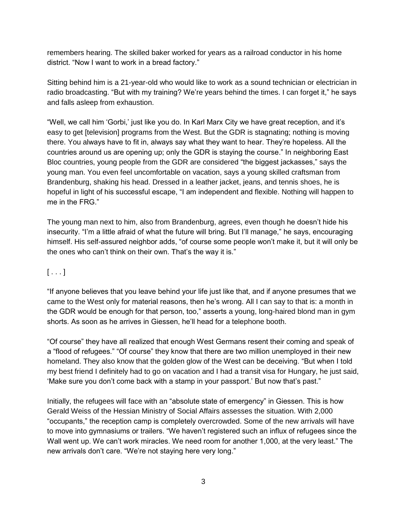remembers hearing. The skilled baker worked for years as a railroad conductor in his home district. "Now I want to work in a bread factory."

Sitting behind him is a 21-year-old who would like to work as a sound technician or electrician in radio broadcasting. "But with my training? We're years behind the times. I can forget it," he says and falls asleep from exhaustion.

"Well, we call him "Gorbi," just like you do. In Karl Marx City we have great reception, and it"s easy to get [television] programs from the West. But the GDR is stagnating; nothing is moving there. You always have to fit in, always say what they want to hear. They"re hopeless. All the countries around us are opening up; only the GDR is staying the course." In neighboring East Bloc countries, young people from the GDR are considered "the biggest jackasses," says the young man. You even feel uncomfortable on vacation, says a young skilled craftsman from Brandenburg, shaking his head. Dressed in a leather jacket, jeans, and tennis shoes, he is hopeful in light of his successful escape, "I am independent and flexible. Nothing will happen to me in the FRG."

The young man next to him, also from Brandenburg, agrees, even though he doesn"t hide his insecurity. "I"m a little afraid of what the future will bring. But I"ll manage," he says, encouraging himself. His self-assured neighbor adds, "of course some people won"t make it, but it will only be the ones who can't think on their own. That's the way it is."

## $[\ldots]$

"If anyone believes that you leave behind your life just like that, and if anyone presumes that we came to the West only for material reasons, then he"s wrong. All I can say to that is: a month in the GDR would be enough for that person, too," asserts a young, long-haired blond man in gym shorts. As soon as he arrives in Giessen, he"ll head for a telephone booth.

"Of course" they have all realized that enough West Germans resent their coming and speak of a "flood of refugees." "Of course" they know that there are two million unemployed in their new homeland. They also know that the golden glow of the West can be deceiving. "But when I told my best friend I definitely had to go on vacation and I had a transit visa for Hungary, he just said, 'Make sure you don't come back with a stamp in your passport.' But now that's past."

Initially, the refugees will face with an "absolute state of emergency" in Giessen. This is how Gerald Weiss of the Hessian Ministry of Social Affairs assesses the situation. With 2,000 "occupants," the reception camp is completely overcrowded. Some of the new arrivals will have to move into gymnasiums or trailers. "We haven"t registered such an influx of refugees since the Wall went up. We can't work miracles. We need room for another 1,000, at the very least." The new arrivals don't care. "We're not staying here very long."